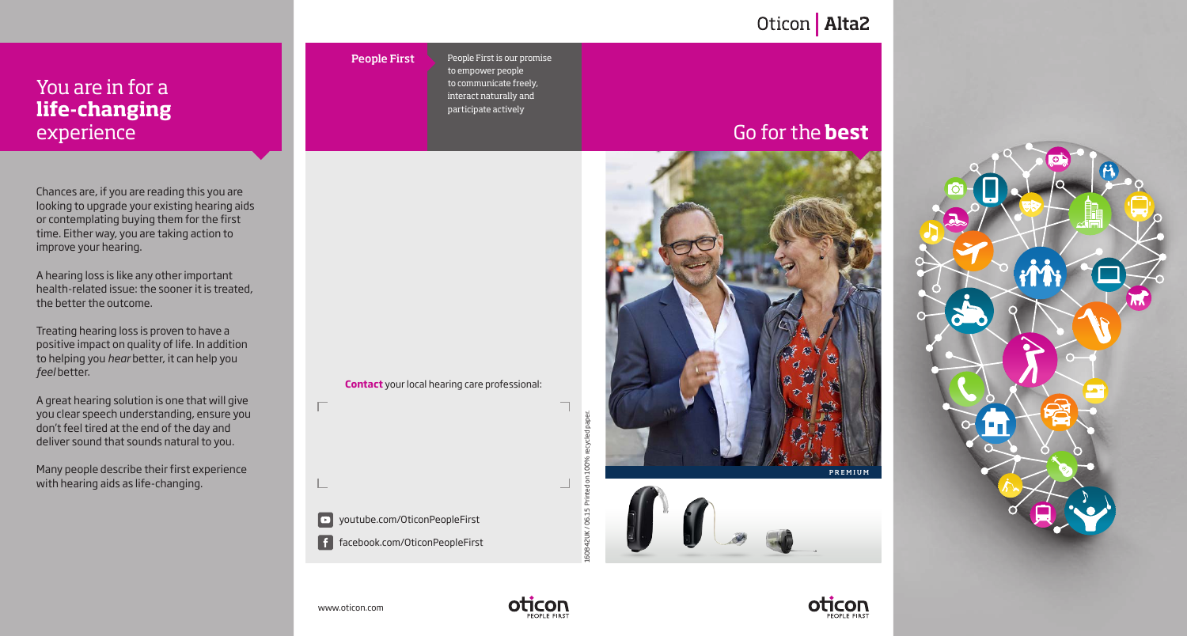# You are in for a **life-changing** experience

Chances are, if you are reading this you are looking to upgrade your existing hearing aids or contemplating buying them for the first time. Either way, you are taking action to improve your hearing.

A hearing loss is like any other important health-related issue: the sooner it is treated, the better the outcome.

Treating hearing loss is proven to have a positive impact on quality of life. In addition to helping you *hear* better, it can help you *feel* better.

A great hearing solution is one that will give you clear speech understanding, ensure you don't feel tired at the end of the day and deliver sound that sounds natural to you.

Many people describe their first experience with hearing aids as life-changing.

People First

**Contact** your local hearing care professional:

People First is our promise to empower people to communicate freely, interact naturally and participate actively

# Go for the **best**

Oticon | Alta2







 $\Box$ 

■ youtube.com/OticonPeopleFirst

facebook.com/OticonPeopleFirst



160842UK / 06.15 Printed on 100% recycled paper.